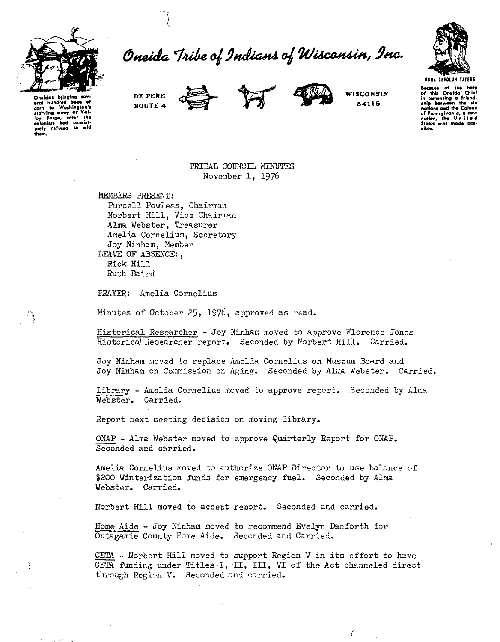

Oneida Tribe of Indians of Wisconsin, Inc.



Oneidas brinaina eral hundred bags of corn to Washington's<br>statving army at Val-<br>loy Forge, after the<br>colonists had consist-<br>ently refused to aid DE PERE ROUTE 4





WISCONSIN 54115

**Because of the help**<br>of this Oneida Chief in comenting a friend-<br>ship between the six nations and the Colony<br>of Pennsylvania, a new nation, the United<br>States was made pos-**States** sible.

TRIBAL COUNCIL MINUTES November 1, 1976

MEMBERS PRESENT: Purcell Powless, Chairman Norbert Hill, Vice Chairman Alma Webster, Treasurer Amelia Cornelius, Secretary Joy Ninham, Member LEAVE OF ABSENCE:. Rick Hill Ruth Baird

PRAYER: Amelia Cornelius

Minutes of October 25, 1976, approved as read.

Historical Researcher - Joy Ninham moved to approve Florence Jones Historical Researcher report. Seconded by Norbert Hill. Carried.

Joy Ninham moved to replace Amelia Cornelius on Museum Board and Joy Ninham on Commission on Aging. Seconded by Alma Webster. Carried.

Library - Amelia Cornelius moved to approve report. Seconded by Alma Webster. Carried.

Report next meeting decision on moving library.

ONAP - Alma Webster moved to approve Quarterly Report for ONAP. Seconded and carried.

Amelia Cornelius moved to authorize ONAP Director to use balance of \$200 Winterization funds for emergency fuel. Seconded by Alma Webster. Carried.

Norbert Hill moved to accept report. Seconded and carried.

Home Aide - Joy Ninham moved to recommend Evelyn Danforth for Outagamie County Home Aide. Seconded and Carried.

CETA - Norbert Hill moved to support Region V in its effort to have CETA funding under Titles I, II, III, VI of the Act channeled direct through Region V. Seconded and carried.